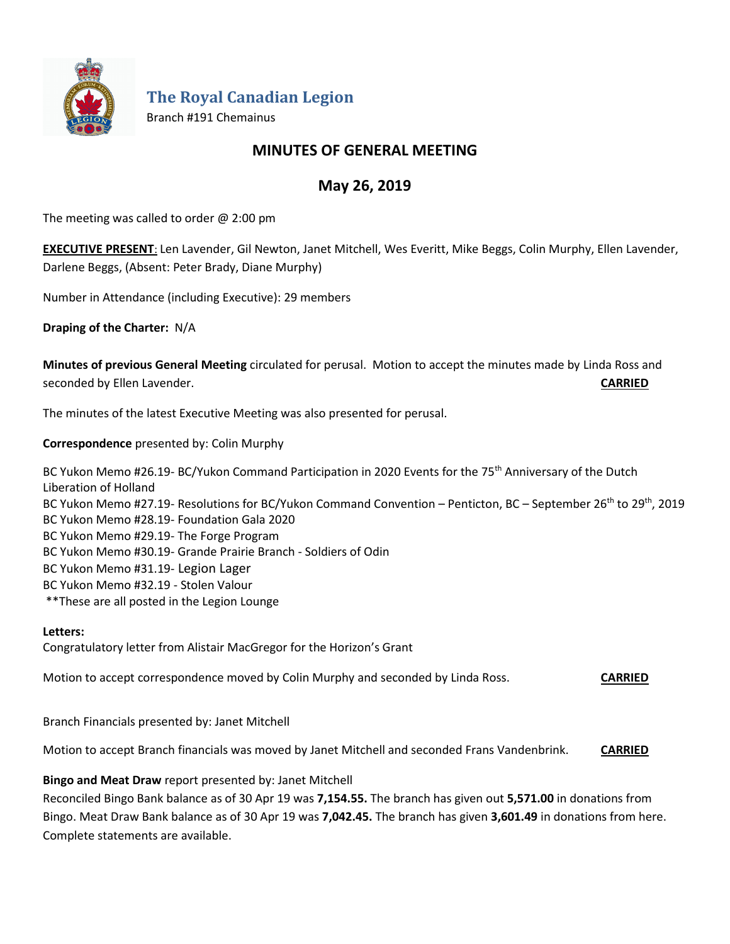

**The Royal Canadian Legion**

Branch #191 Chemainus

## **MINUTES OF GENERAL MEETING**

# **May 26, 2019**

The meeting was called to order  $@$  2:00 pm

**EXECUTIVE PRESENT**: Len Lavender, Gil Newton, Janet Mitchell, Wes Everitt, Mike Beggs, Colin Murphy, Ellen Lavender, Darlene Beggs, (Absent: Peter Brady, Diane Murphy)

Number in Attendance (including Executive): 29 members

**Draping of the Charter:** N/A

**Minutes of previous General Meeting** circulated for perusal. Motion to accept the minutes made by Linda Ross and seconded by Ellen Lavender. **CARRIED**

The minutes of the latest Executive Meeting was also presented for perusal.

**Correspondence** presented by: Colin Murphy

BC Yukon Memo #26.19- BC/Yukon Command Participation in 2020 Events for the 75<sup>th</sup> Anniversary of the Dutch Liberation of Holland BC Yukon Memo #27.19- Resolutions for BC/Yukon Command Convention – Penticton, BC – September 26<sup>th</sup> to 29<sup>th</sup>, 2019 BC Yukon Memo #28.19- Foundation Gala 2020 BC Yukon Memo #29.19- The Forge Program BC Yukon Memo #30.19- Grande Prairie Branch - Soldiers of Odin BC Yukon Memo #31.19- Legion Lager BC Yukon Memo #32.19 - Stolen Valour \*\*These are all posted in the Legion Lounge

#### **Letters:**

Congratulatory letter from Alistair MacGregor for the Horizon's Grant

Motion to accept correspondence moved by Colin Murphy and seconded by Linda Ross. **CARRIED**

Branch Financials presented by: Janet Mitchell

Motion to accept Branch financials was moved by Janet Mitchell and seconded Frans Vandenbrink. **CARRIED**

**Bingo and Meat Draw** report presented by: Janet Mitchell

Reconciled Bingo Bank balance as of 30 Apr 19 was **7,154.55.** The branch has given out **5,571.00** in donations from Bingo. Meat Draw Bank balance as of 30 Apr 19 was **7,042.45.** The branch has given **3,601.49** in donations from here. Complete statements are available.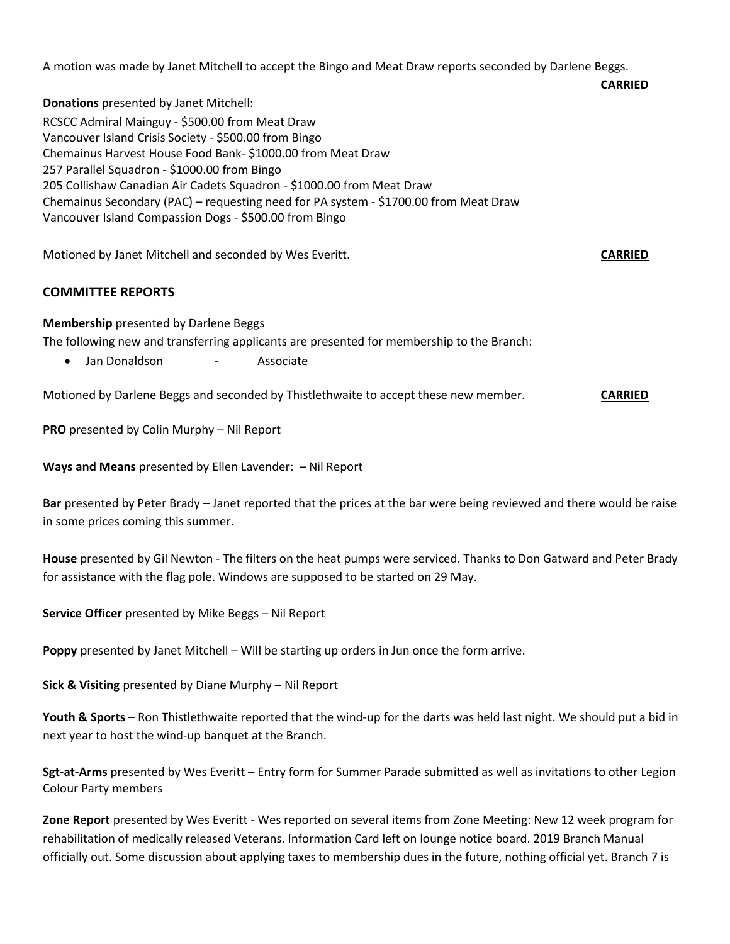A motion was made by Janet Mitchell to accept the Bingo and Meat Draw reports seconded by Darlene Beggs.

**Donations** presented by Janet Mitchell: RCSCC Admiral Mainguy - \$500.00 from Meat Draw Vancouver Island Crisis Society - \$500.00 from Bingo Chemainus Harvest House Food Bank- \$1000.00 from Meat Draw 257 Parallel Squadron - \$1000.00 from Bingo 205 Collishaw Canadian Air Cadets Squadron - \$1000.00 from Meat Draw Chemainus Secondary (PAC) – requesting need for PA system - \$1700.00 from Meat Draw Vancouver Island Compassion Dogs - \$500.00 from Bingo

Motioned by Janet Mitchell and seconded by Wes Everitt. **CARRIED**

## **COMMITTEE REPORTS**

#### **Membership** presented by Darlene Beggs

The following new and transferring applicants are presented for membership to the Branch:

• Jan Donaldson - Associate

Motioned by Darlene Beggs and seconded by Thistlethwaite to accept these new member. **CARRIED**

**PRO** presented by Colin Murphy – Nil Report

**Ways and Means** presented by Ellen Lavender: – Nil Report

Bar presented by Peter Brady – Janet reported that the prices at the bar were being reviewed and there would be raise in some prices coming this summer.

**House** presented by Gil Newton - The filters on the heat pumps were serviced. Thanks to Don Gatward and Peter Brady for assistance with the flag pole. Windows are supposed to be started on 29 May.

**Service Officer** presented by Mike Beggs – Nil Report

**Poppy** presented by Janet Mitchell – Will be starting up orders in Jun once the form arrive.

**Sick & Visiting** presented by Diane Murphy – Nil Report

**Youth & Sports** – Ron Thistlethwaite reported that the wind-up for the darts was held last night. We should put a bid in next year to host the wind-up banquet at the Branch.

**Sgt-at-Arms** presented by Wes Everitt – Entry form for Summer Parade submitted as well as invitations to other Legion Colour Party members

**Zone Report** presented by Wes Everitt - Wes reported on several items from Zone Meeting: New 12 week program for rehabilitation of medically released Veterans. Information Card left on lounge notice board. 2019 Branch Manual officially out. Some discussion about applying taxes to membership dues in the future, nothing official yet. Branch 7 is

**CARRIED**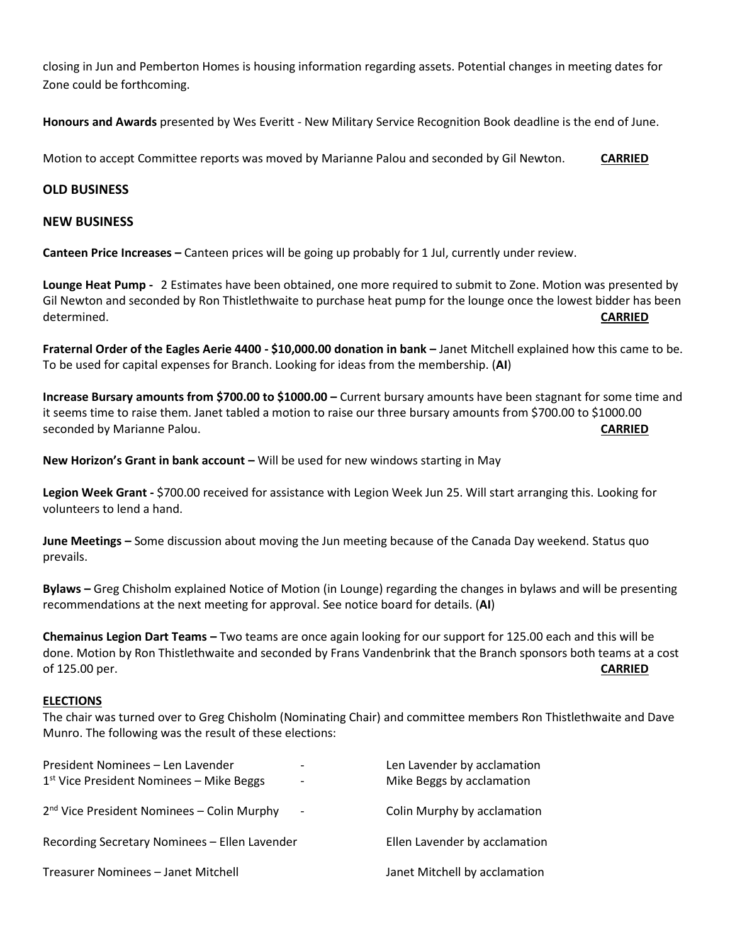closing in Jun and Pemberton Homes is housing information regarding assets. Potential changes in meeting dates for Zone could be forthcoming.

**Honours and Awards** presented by Wes Everitt - New Military Service Recognition Book deadline is the end of June.

Motion to accept Committee reports was moved by Marianne Palou and seconded by Gil Newton. **CARRIED**

### **OLD BUSINESS**

#### **NEW BUSINESS**

**Canteen Price Increases –** Canteen prices will be going up probably for 1 Jul, currently under review.

**Lounge Heat Pump -** 2 Estimates have been obtained, one more required to submit to Zone. Motion was presented by Gil Newton and seconded by Ron Thistlethwaite to purchase heat pump for the lounge once the lowest bidder has been determined. **CARRIED**

**Fraternal Order of the Eagles Aerie 4400 - \$10,000.00 donation in bank –** Janet Mitchell explained how this came to be. To be used for capital expenses for Branch. Looking for ideas from the membership. (**AI**)

**Increase Bursary amounts from \$700.00 to \$1000.00 –** Current bursary amounts have been stagnant for some time and it seems time to raise them. Janet tabled a motion to raise our three bursary amounts from \$700.00 to \$1000.00 seconded by Marianne Palou. **CARRIED**

**New Horizon's Grant in bank account –** Will be used for new windows starting in May

**Legion Week Grant -** \$700.00 received for assistance with Legion Week Jun 25. Will start arranging this. Looking for volunteers to lend a hand.

**June Meetings –** Some discussion about moving the Jun meeting because of the Canada Day weekend. Status quo prevails.

**Bylaws –** Greg Chisholm explained Notice of Motion (in Lounge) regarding the changes in bylaws and will be presenting recommendations at the next meeting for approval. See notice board for details. (**AI**)

**Chemainus Legion Dart Teams –** Two teams are once again looking for our support for 125.00 each and this will be done. Motion by Ron Thistlethwaite and seconded by Frans Vandenbrink that the Branch sponsors both teams at a cost of 125.00 per. **CARRIED**

#### **ELECTIONS**

The chair was turned over to Greg Chisholm (Nominating Chair) and committee members Ron Thistlethwaite and Dave Munro. The following was the result of these elections:

| President Nominees - Len Lavender<br>$1st$ Vice President Nominees – Mike Beggs | $\overline{\phantom{a}}$<br>$\qquad \qquad$ | Len Lavender by acclamation<br>Mike Beggs by acclamation |
|---------------------------------------------------------------------------------|---------------------------------------------|----------------------------------------------------------|
| $2nd$ Vice President Nominees – Colin Murphy                                    | $\overline{\phantom{a}}$                    | Colin Murphy by acclamation                              |
| Recording Secretary Nominees - Ellen Lavender                                   |                                             | Ellen Lavender by acclamation                            |
| Treasurer Nominees - Janet Mitchell                                             |                                             | Janet Mitchell by acclamation                            |